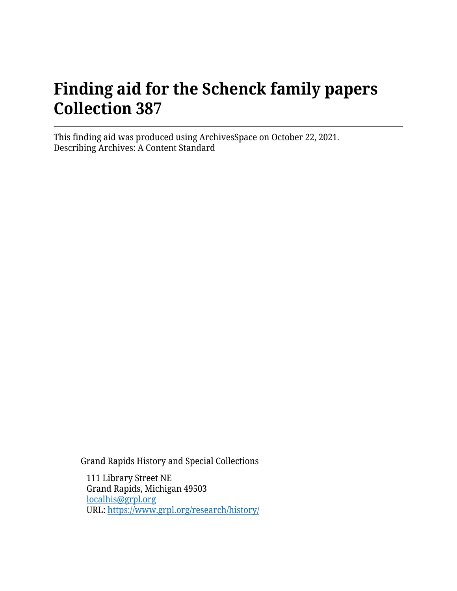# **Finding aid for the Schenck family papers Collection 387**

This finding aid was produced using ArchivesSpace on October 22, 2021. Describing Archives: A Content Standard

Grand Rapids History and Special Collections

111 Library Street NE Grand Rapids, Michigan 49503 [localhis@grpl.org](mailto:localhis@grpl.org) URL:<https://www.grpl.org/research/history/>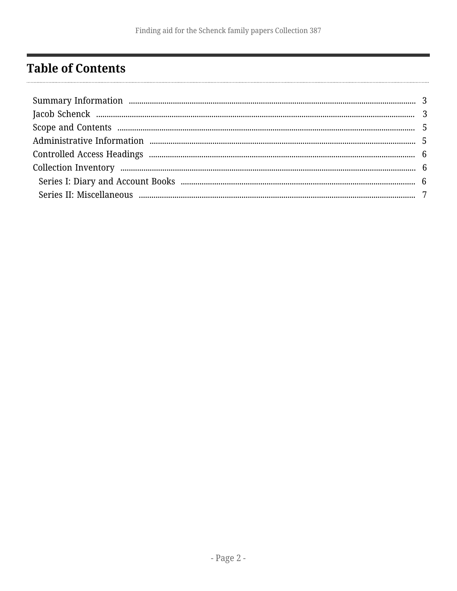## <span id="page-1-0"></span>**Table of Contents**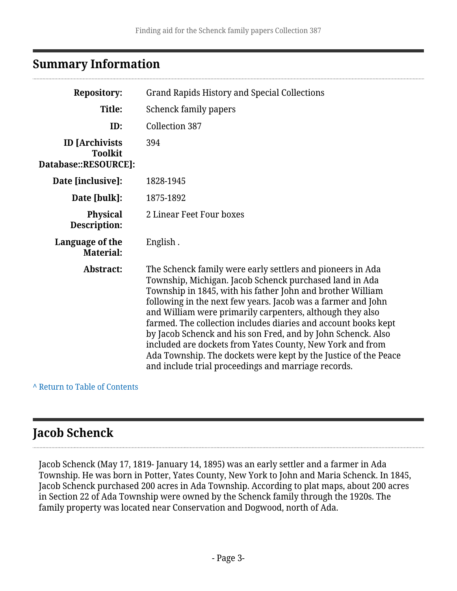## <span id="page-2-0"></span>**Summary Information**

| <b>Repository:</b>                                              | <b>Grand Rapids History and Special Collections</b>                                                                                                                                                                                                                                                                                                                                                                                                                                                                                                                                                                                       |  |  |
|-----------------------------------------------------------------|-------------------------------------------------------------------------------------------------------------------------------------------------------------------------------------------------------------------------------------------------------------------------------------------------------------------------------------------------------------------------------------------------------------------------------------------------------------------------------------------------------------------------------------------------------------------------------------------------------------------------------------------|--|--|
| Title:                                                          | Schenck family papers                                                                                                                                                                                                                                                                                                                                                                                                                                                                                                                                                                                                                     |  |  |
| ID:                                                             | <b>Collection 387</b>                                                                                                                                                                                                                                                                                                                                                                                                                                                                                                                                                                                                                     |  |  |
| <b>ID</b> [Archivists<br><b>Toolkit</b><br>Database::RESOURCE]: | 394                                                                                                                                                                                                                                                                                                                                                                                                                                                                                                                                                                                                                                       |  |  |
| Date [inclusive]:                                               | 1828-1945                                                                                                                                                                                                                                                                                                                                                                                                                                                                                                                                                                                                                                 |  |  |
| Date [bulk]:                                                    | 1875-1892                                                                                                                                                                                                                                                                                                                                                                                                                                                                                                                                                                                                                                 |  |  |
| <b>Physical</b><br>Description:                                 | 2 Linear Feet Four boxes                                                                                                                                                                                                                                                                                                                                                                                                                                                                                                                                                                                                                  |  |  |
| Language of the<br><b>Material:</b>                             | English.                                                                                                                                                                                                                                                                                                                                                                                                                                                                                                                                                                                                                                  |  |  |
| Abstract:                                                       | The Schenck family were early settlers and pioneers in Ada<br>Township, Michigan. Jacob Schenck purchased land in Ada<br>Township in 1845, with his father John and brother William<br>following in the next few years. Jacob was a farmer and John<br>and William were primarily carpenters, although they also<br>farmed. The collection includes diaries and account books kept<br>by Jacob Schenck and his son Fred, and by John Schenck. Also<br>included are dockets from Yates County, New York and from<br>Ada Township. The dockets were kept by the Justice of the Peace<br>and include trial proceedings and marriage records. |  |  |

**^** [Return to Table of Contents](#page-1-0)

## <span id="page-2-1"></span>**Jacob Schenck**

Jacob Schenck (May 17, 1819- January 14, 1895) was an early settler and a farmer in Ada Township. He was born in Potter, Yates County, New York to John and Maria Schenck. In 1845, Jacob Schenck purchased 200 acres in Ada Township. According to plat maps, about 200 acres in Section 22 of Ada Township were owned by the Schenck family through the 1920s. The family property was located near Conservation and Dogwood, north of Ada.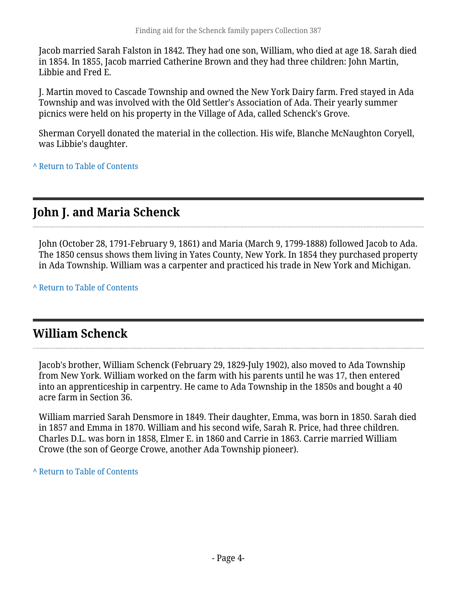Jacob married Sarah Falston in 1842. They had one son, William, who died at age 18. Sarah died in 1854. In 1855, Jacob married Catherine Brown and they had three children: John Martin, Libbie and Fred E.

J. Martin moved to Cascade Township and owned the New York Dairy farm. Fred stayed in Ada Township and was involved with the Old Settler's Association of Ada. Their yearly summer picnics were held on his property in the Village of Ada, called Schenck's Grove.

Sherman Coryell donated the material in the collection. His wife, Blanche McNaughton Coryell, was Libbie's daughter.

**^** [Return to Table of Contents](#page-1-0)

## **John J. and Maria Schenck**

John (October 28, 1791-February 9, 1861) and Maria (March 9, 1799-1888) followed Jacob to Ada. The 1850 census shows them living in Yates County, New York. In 1854 they purchased property in Ada Township. William was a carpenter and practiced his trade in New York and Michigan.

**^** [Return to Table of Contents](#page-1-0)

### **William Schenck**

Jacob's brother, William Schenck (February 29, 1829-July 1902), also moved to Ada Township from New York. William worked on the farm with his parents until he was 17, then entered into an apprenticeship in carpentry. He came to Ada Township in the 1850s and bought a 40 acre farm in Section 36.

William married Sarah Densmore in 1849. Their daughter, Emma, was born in 1850. Sarah died in 1857 and Emma in 1870. William and his second wife, Sarah R. Price, had three children. Charles D.L. was born in 1858, Elmer E. in 1860 and Carrie in 1863. Carrie married William Crowe (the son of George Crowe, another Ada Township pioneer).

**^** [Return to Table of Contents](#page-1-0)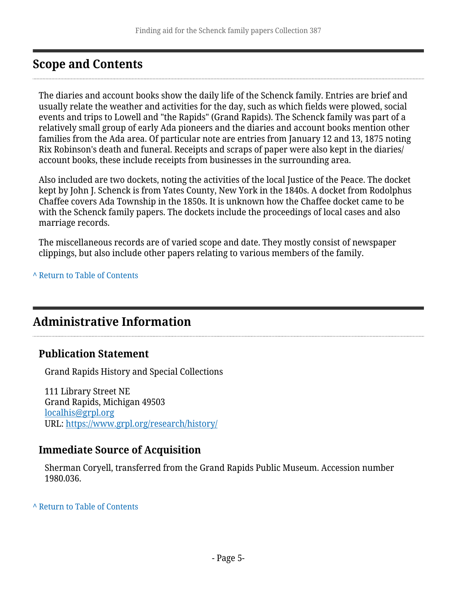## <span id="page-4-0"></span>**Scope and Contents**

The diaries and account books show the daily life of the Schenck family. Entries are brief and usually relate the weather and activities for the day, such as which fields were plowed, social events and trips to Lowell and "the Rapids" (Grand Rapids). The Schenck family was part of a relatively small group of early Ada pioneers and the diaries and account books mention other families from the Ada area. Of particular note are entries from January 12 and 13, 1875 noting Rix Robinson's death and funeral. Receipts and scraps of paper were also kept in the diaries/ account books, these include receipts from businesses in the surrounding area.

Also included are two dockets, noting the activities of the local Justice of the Peace. The docket kept by John J. Schenck is from Yates County, New York in the 1840s. A docket from Rodolphus Chaffee covers Ada Township in the 1850s. It is unknown how the Chaffee docket came to be with the Schenck family papers. The dockets include the proceedings of local cases and also marriage records.

The miscellaneous records are of varied scope and date. They mostly consist of newspaper clippings, but also include other papers relating to various members of the family.

**^** [Return to Table of Contents](#page-1-0)

### <span id="page-4-1"></span>**Administrative Information**

#### **Publication Statement**

Grand Rapids History and Special Collections

111 Library Street NE Grand Rapids, Michigan 49503 [localhis@grpl.org](mailto:localhis@grpl.org) URL:<https://www.grpl.org/research/history/>

#### **Immediate Source of Acquisition**

Sherman Coryell, transferred from the Grand Rapids Public Museum. Accession number 1980.036.

**^** [Return to Table of Contents](#page-1-0)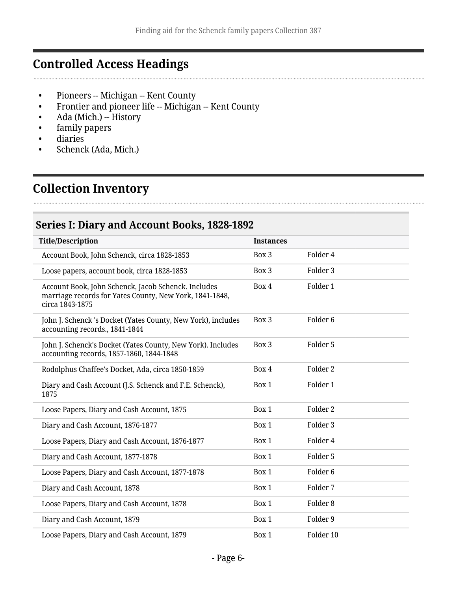## <span id="page-5-0"></span>**Controlled Access Headings**

- Pioneers -- Michigan -- Kent County
- Frontier and pioneer life -- Michigan -- Kent County
- Ada (Mich.) -- History
- family papers
- diaries
- Schenck (Ada, Mich.)

## <span id="page-5-1"></span>**Collection Inventory**

#### <span id="page-5-2"></span>**Series I: Diary and Account Books, 1828-1892**

| <b>Title/Description</b>                                                                                                          | <b>Instances</b> |                     |
|-----------------------------------------------------------------------------------------------------------------------------------|------------------|---------------------|
| Account Book, John Schenck, circa 1828-1853                                                                                       | Box 3            | Folder 4            |
| Loose papers, account book, circa 1828-1853                                                                                       | Box 3            | Folder 3            |
| Account Book, John Schenck, Jacob Schenck. Includes<br>marriage records for Yates County, New York, 1841-1848,<br>circa 1843-1875 | Box 4            | Folder 1            |
| John J. Schenck 's Docket (Yates County, New York), includes<br>accounting records., 1841-1844                                    | Box 3            | Folder <sub>6</sub> |
| John J. Schenck's Docket (Yates County, New York). Includes<br>accounting records, 1857-1860, 1844-1848                           | Box 3            | Folder 5            |
| Rodolphus Chaffee's Docket, Ada, circa 1850-1859                                                                                  | Box 4            | Folder <sub>2</sub> |
| Diary and Cash Account (J.S. Schenck and F.E. Schenck),<br>1875                                                                   | Box 1            | Folder 1            |
| Loose Papers, Diary and Cash Account, 1875                                                                                        | Box 1            | Folder 2            |
| Diary and Cash Account, 1876-1877                                                                                                 | Box 1            | Folder <sub>3</sub> |
| Loose Papers, Diary and Cash Account, 1876-1877                                                                                   | Box 1            | Folder 4            |
| Diary and Cash Account, 1877-1878                                                                                                 | Box 1            | Folder 5            |
| Loose Papers, Diary and Cash Account, 1877-1878                                                                                   | Box 1            | Folder <sub>6</sub> |
| Diary and Cash Account, 1878                                                                                                      | Box 1            | Folder 7            |
| Loose Papers, Diary and Cash Account, 1878                                                                                        | Box 1            | Folder <sub>8</sub> |
| Diary and Cash Account, 1879                                                                                                      | Box 1            | Folder 9            |
| Loose Papers, Diary and Cash Account, 1879                                                                                        | Box 1            | Folder 10           |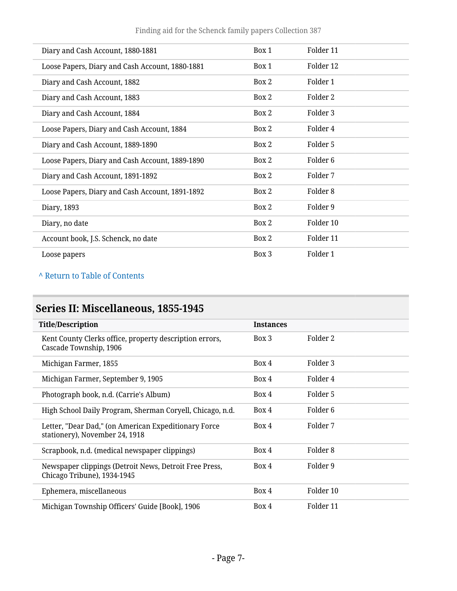Finding aid for the Schenck family papers Collection 387

| Diary and Cash Account, 1880-1881               | Box 1 | Folder 11           |
|-------------------------------------------------|-------|---------------------|
| Loose Papers, Diary and Cash Account, 1880-1881 | Box 1 | Folder 12           |
| Diary and Cash Account, 1882                    | Box 2 | Folder 1            |
| Diary and Cash Account, 1883                    | Box 2 | Folder 2            |
| Diary and Cash Account, 1884                    | Box 2 | Folder 3            |
| Loose Papers, Diary and Cash Account, 1884      | Box 2 | Folder 4            |
| Diary and Cash Account, 1889-1890               | Box 2 | Folder 5            |
| Loose Papers, Diary and Cash Account, 1889-1890 | Box 2 | Folder <sub>6</sub> |
| Diary and Cash Account, 1891-1892               | Box 2 | Folder 7            |
| Loose Papers, Diary and Cash Account, 1891-1892 | Box 2 | Folder 8            |
| Diary, 1893                                     | Box 2 | Folder 9            |
| Diary, no date                                  | Box 2 | Folder 10           |
| Account book, J.S. Schenck, no date             | Box 2 | Folder 11           |
| Loose papers                                    | Box 3 | Folder 1            |

#### **^** [Return to Table of Contents](#page-1-0)

## <span id="page-6-0"></span>**Series II: Miscellaneous, 1855-1945**

| <b>Title/Description</b>                                                               | <b>Instances</b> |           |
|----------------------------------------------------------------------------------------|------------------|-----------|
| Kent County Clerks office, property description errors,<br>Cascade Township, 1906      | Box 3            | Folder 2  |
| Michigan Farmer, 1855                                                                  | Box 4            | Folder 3  |
| Michigan Farmer, September 9, 1905                                                     | Box 4            | Folder 4  |
| Photograph book, n.d. (Carrie's Album)                                                 | Box 4            | Folder 5  |
| High School Daily Program, Sherman Coryell, Chicago, n.d.                              | Box 4            | Folder 6  |
| Letter, "Dear Dad," (on American Expeditionary Force<br>stationery), November 24, 1918 | Box 4            | Folder 7  |
| Scrapbook, n.d. (medical newspaper clippings)                                          | Box 4            | Folder 8  |
| Newspaper clippings (Detroit News, Detroit Free Press,<br>Chicago Tribune), 1934-1945  | Box 4            | Folder 9  |
| Ephemera, miscellaneous                                                                | Box 4            | Folder 10 |
| Michigan Township Officers' Guide [Book], 1906                                         | Box 4            | Folder 11 |